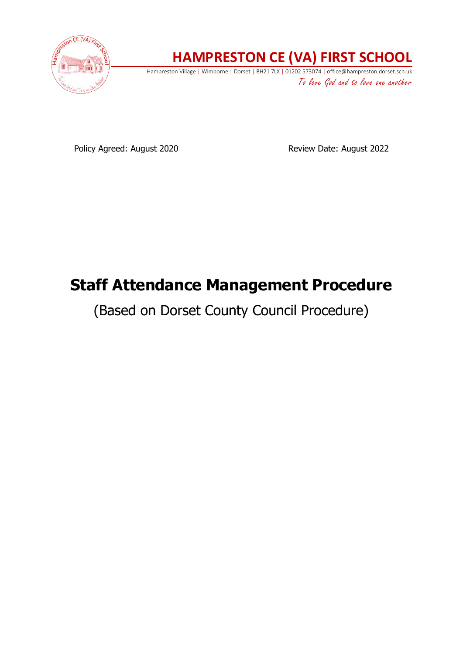

## **HAMPRESTON CE (VA) FIRST SCHOOL**

Hampreston Village | Wimborne | Dorset | BH21 7LX | 01202 573074 | office@hampreston.dorset.sch.uk To love God and to love one another

Policy Agreed: August 2020 Review Date: August 2022

# **Staff Attendance Management Procedure**

(Based on Dorset County Council Procedure)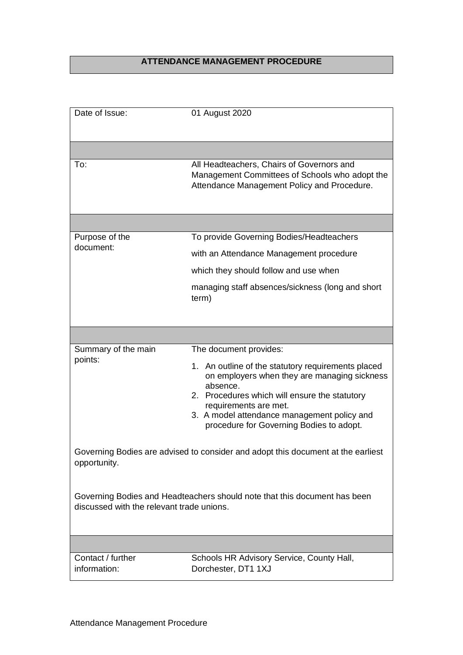## **ATTENDANCE MANAGEMENT PROCEDURE**

| Date of Issue:                            | 01 August 2020                                                                                                                                                                                                                                                                      |
|-------------------------------------------|-------------------------------------------------------------------------------------------------------------------------------------------------------------------------------------------------------------------------------------------------------------------------------------|
|                                           |                                                                                                                                                                                                                                                                                     |
| To:                                       | All Headteachers, Chairs of Governors and<br>Management Committees of Schools who adopt the<br>Attendance Management Policy and Procedure.                                                                                                                                          |
|                                           |                                                                                                                                                                                                                                                                                     |
| Purpose of the<br>document:               | To provide Governing Bodies/Headteachers                                                                                                                                                                                                                                            |
|                                           | with an Attendance Management procedure                                                                                                                                                                                                                                             |
|                                           | which they should follow and use when                                                                                                                                                                                                                                               |
|                                           | managing staff absences/sickness (long and short<br>term)                                                                                                                                                                                                                           |
|                                           |                                                                                                                                                                                                                                                                                     |
|                                           |                                                                                                                                                                                                                                                                                     |
| Summary of the main                       | The document provides:                                                                                                                                                                                                                                                              |
| points:                                   | 1. An outline of the statutory requirements placed<br>on employers when they are managing sickness<br>absence.<br>2. Procedures which will ensure the statutory<br>requirements are met.<br>3. A model attendance management policy and<br>procedure for Governing Bodies to adopt. |
| opportunity.                              | Governing Bodies are advised to consider and adopt this document at the earliest                                                                                                                                                                                                    |
| discussed with the relevant trade unions. | Governing Bodies and Headteachers should note that this document has been                                                                                                                                                                                                           |
|                                           |                                                                                                                                                                                                                                                                                     |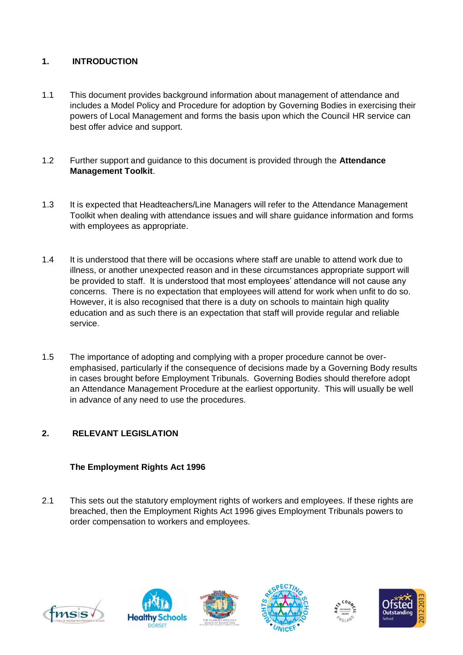## **1. INTRODUCTION**

- 1.1 This document provides background information about management of attendance and includes a Model Policy and Procedure for adoption by Governing Bodies in exercising their powers of Local Management and forms the basis upon which the Council HR service can best offer advice and support.
- 1.2 Further support and guidance to this document is provided through the **Attendance Management Toolkit**.
- 1.3 It is expected that Headteachers/Line Managers will refer to the Attendance Management Toolkit when dealing with attendance issues and will share guidance information and forms with employees as appropriate.
- 1.4 It is understood that there will be occasions where staff are unable to attend work due to illness, or another unexpected reason and in these circumstances appropriate support will be provided to staff. It is understood that most employees' attendance will not cause any concerns. There is no expectation that employees will attend for work when unfit to do so. However, it is also recognised that there is a duty on schools to maintain high quality education and as such there is an expectation that staff will provide regular and reliable service.
- 1.5 The importance of adopting and complying with a proper procedure cannot be overemphasised, particularly if the consequence of decisions made by a Governing Body results in cases brought before Employment Tribunals. Governing Bodies should therefore adopt an Attendance Management Procedure at the earliest opportunity. This will usually be well in advance of any need to use the procedures.

## **2. RELEVANT LEGISLATION**

## **The Employment Rights Act 1996**

2.1 This sets out the statutory employment rights of workers and employees. If these rights are breached, then the Employment Rights Act 1996 gives Employment Tribunals powers to order compensation to workers and employees.











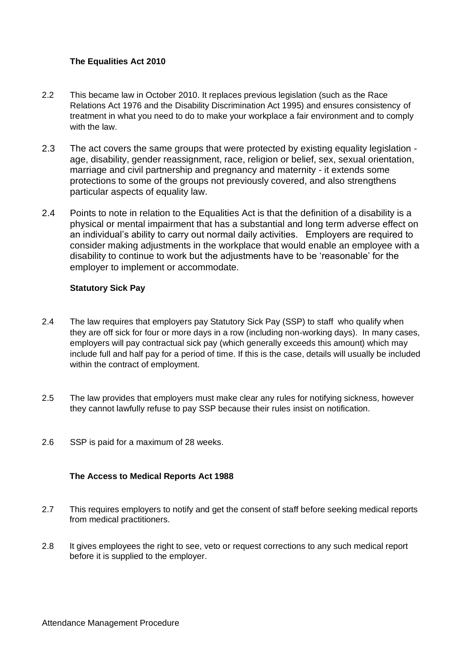## **The Equalities Act 2010**

- 2.2 This became law in October 2010. It replaces previous legislation (such as the Race Relations Act 1976 and the Disability Discrimination Act 1995) and ensures consistency of treatment in what you need to do to make your workplace a fair environment and to comply with the law.
- 2.3 The act covers the same groups that were protected by existing equality legislation age, disability, gender reassignment, race, religion or belief, sex, sexual orientation, marriage and civil partnership and pregnancy and maternity - it extends some protections to some of the groups not previously covered, and also strengthens particular aspects of equality law.
- 2.4 Points to note in relation to the Equalities Act is that the definition of a disability is a physical or mental impairment that has a substantial and long term adverse effect on an individual's ability to carry out normal daily activities. Employers are required to consider making adjustments in the workplace that would enable an employee with a disability to continue to work but the adjustments have to be 'reasonable' for the employer to implement or accommodate.

## **Statutory Sick Pay**

- 2.4 The law requires that employers pay Statutory Sick Pay (SSP) to staff who qualify when they are off sick for four or more days in a row (including non-working days). In many cases, employers will pay contractual sick pay (which generally exceeds this amount) which may include full and half pay for a period of time. If this is the case, details will usually be included within the contract of employment.
- 2.5 The law provides that employers must make clear any rules for notifying sickness, however they cannot lawfully refuse to pay SSP because their rules insist on notification.
- 2.6 SSP is paid for a maximum of 28 weeks.

## **The Access to Medical Reports Act 1988**

- 2.7 This requires employers to notify and get the consent of staff before seeking medical reports from medical practitioners.
- 2.8 It gives employees the right to see, veto or request corrections to any such medical report before it is supplied to the employer.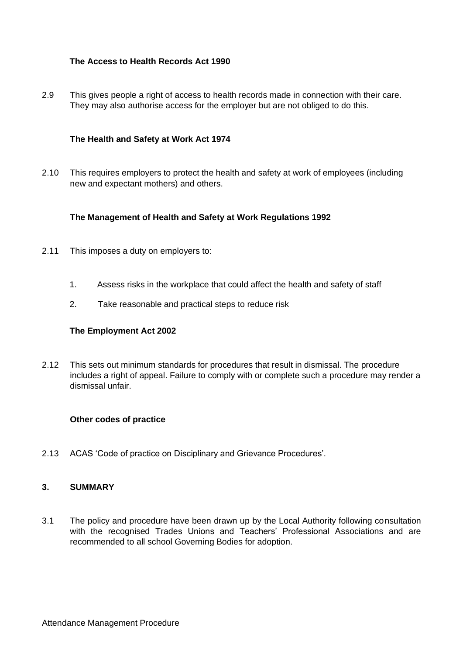## **The Access to Health Records Act 1990**

2.9 This gives people a right of access to health records made in connection with their care. They may also authorise access for the employer but are not obliged to do this.

#### **The Health and Safety at Work Act 1974**

2.10 This requires employers to protect the health and safety at work of employees (including new and expectant mothers) and others.

#### **The Management of Health and Safety at Work Regulations 1992**

- 2.11 This imposes a duty on employers to:
	- 1. Assess risks in the workplace that could affect the health and safety of staff
	- 2. Take reasonable and practical steps to reduce risk

#### **The Employment Act 2002**

2.12 This sets out minimum standards for procedures that result in dismissal. The procedure includes a right of appeal. Failure to comply with or complete such a procedure may render a dismissal unfair.

#### **Other codes of practice**

2.13 ACAS 'Code of practice on Disciplinary and Grievance Procedures'.

#### **3. SUMMARY**

3.1 The policy and procedure have been drawn up by the Local Authority following consultation with the recognised Trades Unions and Teachers' Professional Associations and are recommended to all school Governing Bodies for adoption.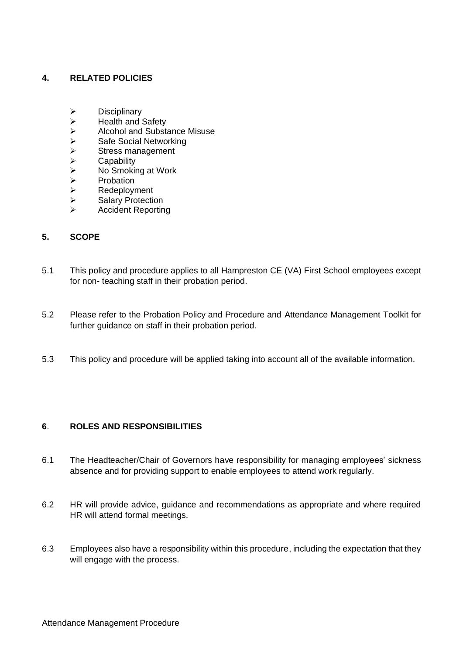## **4. RELATED POLICIES**

- 
- Health and Safety
- → Disciplinary<br>
→ Health and :<br>
Alcohol and<br>
→ Safe Social<br>
→ Stress mana<br>
<br>
Capability<br>
→ Capability<br>
→ Probation<br>
→ Redeployme<br>
→ Salary Prote<br>
→ Accident Re ➢ Alcohol and Substance Misuse
- Safe Social Networking
- Stress management
- **Capability**
- ➢ No Smoking at Work
- **Probation**
- **Redeployment**
- Salary Protection
- ➢ Accident Reporting

## **5. SCOPE**

- 5.1 This policy and procedure applies to all Hampreston CE (VA) First School employees except for non- teaching staff in their probation period.
- 5.2 Please refer to the Probation Policy and Procedure and Attendance Management Toolkit for further guidance on staff in their probation period.
- 5.3 This policy and procedure will be applied taking into account all of the available information.

## **6**. **ROLES AND RESPONSIBILITIES**

- 6.1 The Headteacher/Chair of Governors have responsibility for managing employees' sickness absence and for providing support to enable employees to attend work regularly.
- 6.2 HR will provide advice, guidance and recommendations as appropriate and where required HR will attend formal meetings.
- 6.3 Employees also have a responsibility within this procedure, including the expectation that they will engage with the process.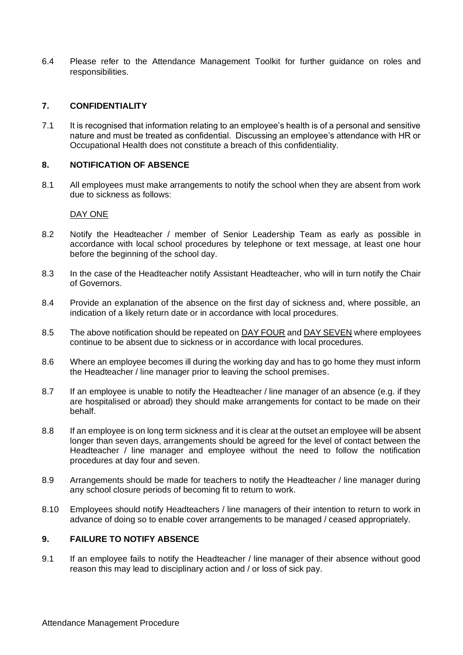6.4 Please refer to the Attendance Management Toolkit for further guidance on roles and responsibilities.

## **7. CONFIDENTIALITY**

7.1 It is recognised that information relating to an employee's health is of a personal and sensitive nature and must be treated as confidential. Discussing an employee's attendance with HR or Occupational Health does not constitute a breach of this confidentiality.

## **8. NOTIFICATION OF ABSENCE**

8.1 All employees must make arrangements to notify the school when they are absent from work due to sickness as follows:

#### DAY ONE

- 8.2 Notify the Headteacher / member of Senior Leadership Team as early as possible in accordance with local school procedures by telephone or text message, at least one hour before the beginning of the school day.
- 8.3 In the case of the Headteacher notify Assistant Headteacher, who will in turn notify the Chair of Governors.
- 8.4 Provide an explanation of the absence on the first day of sickness and, where possible, an indication of a likely return date or in accordance with local procedures.
- 8.5 The above notification should be repeated on DAY FOUR and DAY SEVEN where employees continue to be absent due to sickness or in accordance with local procedures.
- 8.6 Where an employee becomes ill during the working day and has to go home they must inform the Headteacher / line manager prior to leaving the school premises.
- 8.7 If an employee is unable to notify the Headteacher / line manager of an absence (e.g. if they are hospitalised or abroad) they should make arrangements for contact to be made on their behalf.
- 8.8 If an employee is on long term sickness and it is clear at the outset an employee will be absent longer than seven days, arrangements should be agreed for the level of contact between the Headteacher / line manager and employee without the need to follow the notification procedures at day four and seven.
- 8.9 Arrangements should be made for teachers to notify the Headteacher / line manager during any school closure periods of becoming fit to return to work.
- 8.10 Employees should notify Headteachers / line managers of their intention to return to work in advance of doing so to enable cover arrangements to be managed / ceased appropriately.

## **9. FAILURE TO NOTIFY ABSENCE**

9.1 If an employee fails to notify the Headteacher / line manager of their absence without good reason this may lead to disciplinary action and / or loss of sick pay.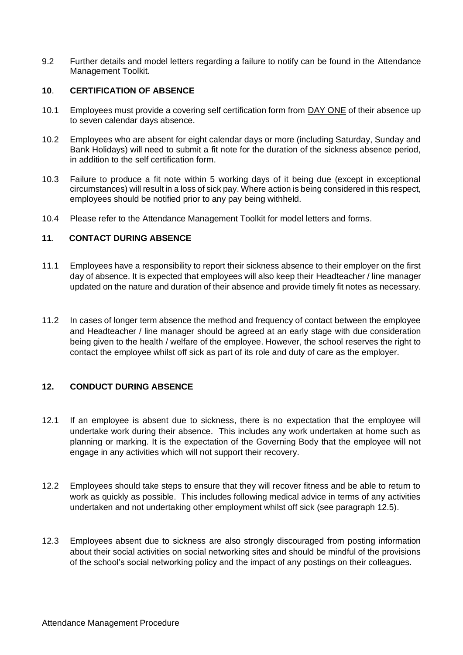9.2 Further details and model letters regarding a failure to notify can be found in the Attendance Management Toolkit.

## **10**. **CERTIFICATION OF ABSENCE**

- 10.1 Employees must provide a covering self certification form from DAY ONE of their absence up to seven calendar days absence.
- 10.2 Employees who are absent for eight calendar days or more (including Saturday, Sunday and Bank Holidays) will need to submit a fit note for the duration of the sickness absence period, in addition to the self certification form.
- 10.3 Failure to produce a fit note within 5 working days of it being due (except in exceptional circumstances) will result in a loss of sick pay. Where action is being considered in this respect, employees should be notified prior to any pay being withheld.
- 10.4 Please refer to the Attendance Management Toolkit for model letters and forms.

## **11**. **CONTACT DURING ABSENCE**

- 11.1 Employees have a responsibility to report their sickness absence to their employer on the first day of absence. It is expected that employees will also keep their Headteacher / line manager updated on the nature and duration of their absence and provide timely fit notes as necessary.
- 11.2 In cases of longer term absence the method and frequency of contact between the employee and Headteacher / line manager should be agreed at an early stage with due consideration being given to the health / welfare of the employee. However, the school reserves the right to contact the employee whilst off sick as part of its role and duty of care as the employer.

## **12. CONDUCT DURING ABSENCE**

- 12.1 If an employee is absent due to sickness, there is no expectation that the employee will undertake work during their absence. This includes any work undertaken at home such as planning or marking. It is the expectation of the Governing Body that the employee will not engage in any activities which will not support their recovery.
- 12.2 Employees should take steps to ensure that they will recover fitness and be able to return to work as quickly as possible. This includes following medical advice in terms of any activities undertaken and not undertaking other employment whilst off sick (see paragraph 12.5).
- 12.3 Employees absent due to sickness are also strongly discouraged from posting information about their social activities on social networking sites and should be mindful of the provisions of the school's social networking policy and the impact of any postings on their colleagues.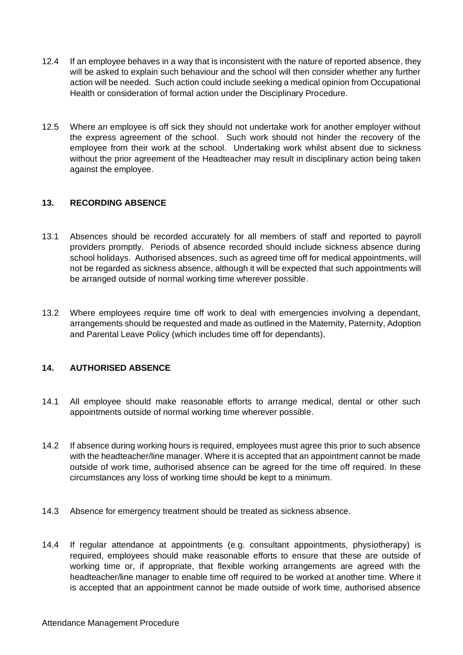- 12.4 If an employee behaves in a way that is inconsistent with the nature of reported absence, they will be asked to explain such behaviour and the school will then consider whether any further action will be needed. Such action could include seeking a medical opinion from Occupational Health or consideration of formal action under the Disciplinary Procedure.
- 12.5 Where an employee is off sick they should not undertake work for another employer without the express agreement of the school. Such work should not hinder the recovery of the employee from their work at the school. Undertaking work whilst absent due to sickness without the prior agreement of the Headteacher may result in disciplinary action being taken against the employee.

## **13. RECORDING ABSENCE**

- 13.1 Absences should be recorded accurately for all members of staff and reported to payroll providers promptly. Periods of absence recorded should include sickness absence during school holidays. Authorised absences, such as agreed time off for medical appointments, will not be regarded as sickness absence, although it will be expected that such appointments will be arranged outside of normal working time wherever possible.
- 13.2 Where employees require time off work to deal with emergencies involving a dependant, arrangements should be requested and made as outlined in the Maternity, Paternity, Adoption and Parental Leave Policy (which includes time off for dependants).

## **14. AUTHORISED ABSENCE**

- 14.1 All employee should make reasonable efforts to arrange medical, dental or other such appointments outside of normal working time wherever possible.
- 14.2 If absence during working hours is required, employees must agree this prior to such absence with the headteacher/line manager. Where it is accepted that an appointment cannot be made outside of work time, authorised absence can be agreed for the time off required. In these circumstances any loss of working time should be kept to a minimum.
- 14.3 Absence for emergency treatment should be treated as sickness absence.
- 14.4 If regular attendance at appointments (e.g. consultant appointments, physiotherapy) is required, employees should make reasonable efforts to ensure that these are outside of working time or, if appropriate, that flexible working arrangements are agreed with the headteacher/line manager to enable time off required to be worked at another time. Where it is accepted that an appointment cannot be made outside of work time, authorised absence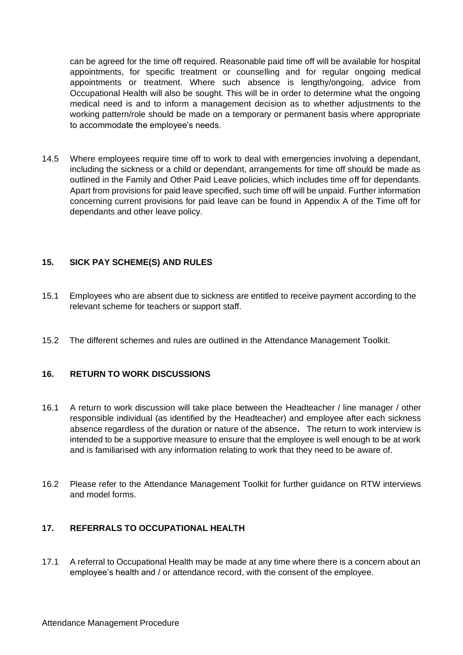can be agreed for the time off required. Reasonable paid time off will be available for hospital appointments, for specific treatment or counselling and for regular ongoing medical appointments or treatment. Where such absence is lengthy/ongoing, advice from Occupational Health will also be sought. This will be in order to determine what the ongoing medical need is and to inform a management decision as to whether adjustments to the working pattern/role should be made on a temporary or permanent basis where appropriate to accommodate the employee's needs.

14.5 Where employees require time off to work to deal with emergencies involving a dependant, including the sickness or a child or dependant, arrangements for time off should be made as outlined in the Family and Other Paid Leave policies, which includes time off for dependants. Apart from provisions for paid leave specified, such time off will be unpaid. Further information concerning current provisions for paid leave can be found in Appendix A of the Time off for dependants and other leave policy.

## **15. SICK PAY SCHEME(S) AND RULES**

- 15.1 Employees who are absent due to sickness are entitled to receive payment according to the relevant scheme for teachers or support staff.
- 15.2 The different schemes and rules are outlined in the Attendance Management Toolkit.

## **16. RETURN TO WORK DISCUSSIONS**

- 16.1 A return to work discussion will take place between the Headteacher / line manager / other responsible individual (as identified by the Headteacher) and employee after each sickness absence regardless of the duration or nature of the absence**.** The return to work interview is intended to be a supportive measure to ensure that the employee is well enough to be at work and is familiarised with any information relating to work that they need to be aware of.
- 16.2 Please refer to the Attendance Management Toolkit for further guidance on RTW interviews and model forms.

## **17. REFERRALS TO OCCUPATIONAL HEALTH**

17.1 A referral to Occupational Health may be made at any time where there is a concern about an employee's health and / or attendance record, with the consent of the employee.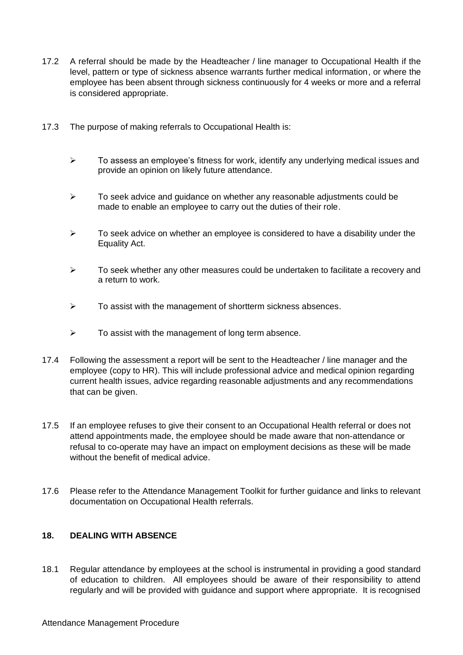- 17.2 A referral should be made by the Headteacher / line manager to Occupational Health if the level, pattern or type of sickness absence warrants further medical information, or where the employee has been absent through sickness continuously for 4 weeks or more and a referral is considered appropriate.
- 17.3 The purpose of making referrals to Occupational Health is:
	- $\triangleright$  To assess an employee's fitness for work, identify any underlying medical issues and provide an opinion on likely future attendance.
	- ➢ To seek advice and guidance on whether any reasonable adjustments could be made to enable an employee to carry out the duties of their role.
	- $\triangleright$  To seek advice on whether an employee is considered to have a disability under the Equality Act.
	- $\triangleright$  To seek whether any other measures could be undertaken to facilitate a recovery and a return to work.
	- ➢ To assist with the management of shortterm sickness absences.
	- $\triangleright$  To assist with the management of long term absence.
- 17.4 Following the assessment a report will be sent to the Headteacher / line manager and the employee (copy to HR). This will include professional advice and medical opinion regarding current health issues, advice regarding reasonable adjustments and any recommendations that can be given.
- 17.5 If an employee refuses to give their consent to an Occupational Health referral or does not attend appointments made, the employee should be made aware that non-attendance or refusal to co-operate may have an impact on employment decisions as these will be made without the benefit of medical advice.
- 17.6 Please refer to the Attendance Management Toolkit for further guidance and links to relevant documentation on Occupational Health referrals.

## **18. DEALING WITH ABSENCE**

18.1 Regular attendance by employees at the school is instrumental in providing a good standard of education to children. All employees should be aware of their responsibility to attend regularly and will be provided with guidance and support where appropriate. It is recognised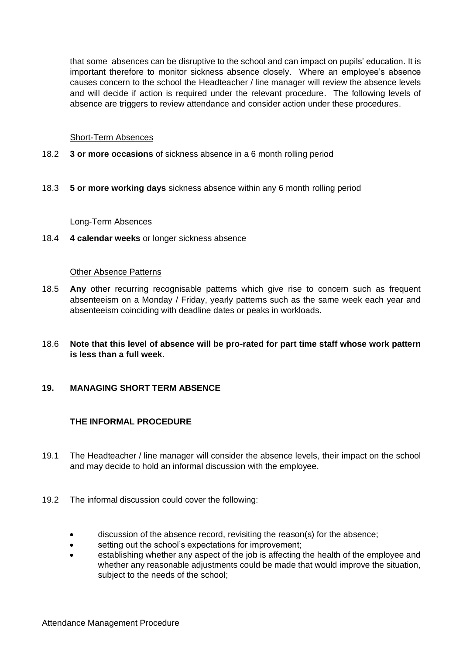that some absences can be disruptive to the school and can impact on pupils' education. It is important therefore to monitor sickness absence closely. Where an employee's absence causes concern to the school the Headteacher / line manager will review the absence levels and will decide if action is required under the relevant procedure. The following levels of absence are triggers to review attendance and consider action under these procedures.

#### Short-Term Absences

- 18.2 **3 or more occasions** of sickness absence in a 6 month rolling period
- 18.3 **5 or more working days** sickness absence within any 6 month rolling period

#### Long-Term Absences

18.4 **4 calendar weeks** or longer sickness absence

#### Other Absence Patterns

- 18.5 **Any** other recurring recognisable patterns which give rise to concern such as frequent absenteeism on a Monday / Friday, yearly patterns such as the same week each year and absenteeism coinciding with deadline dates or peaks in workloads.
- 18.6 **Note that this level of absence will be pro-rated for part time staff whose work pattern is less than a full week**.

## **19. MANAGING SHORT TERM ABSENCE**

## **THE INFORMAL PROCEDURE**

- 19.1 The Headteacher / line manager will consider the absence levels, their impact on the school and may decide to hold an informal discussion with the employee.
- 19.2 The informal discussion could cover the following:
	- discussion of the absence record, revisiting the reason(s) for the absence;
	- setting out the school's expectations for improvement;
	- establishing whether any aspect of the job is affecting the health of the employee and whether any reasonable adjustments could be made that would improve the situation, subject to the needs of the school;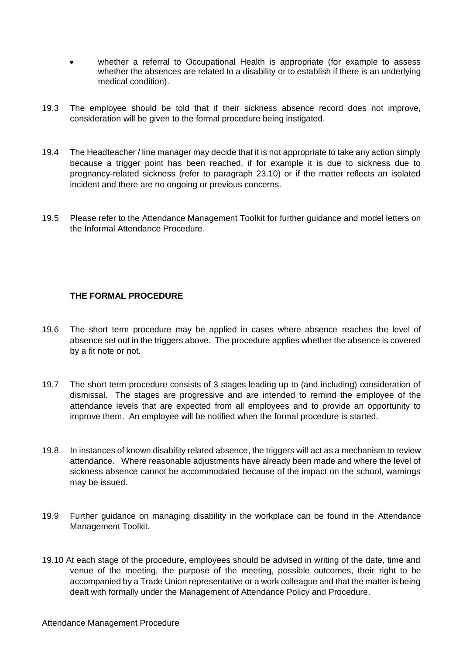- whether a referral to Occupational Health is appropriate (for example to assess whether the absences are related to a disability or to establish if there is an underlying medical condition).
- 19.3 The employee should be told that if their sickness absence record does not improve, consideration will be given to the formal procedure being instigated.
- 19.4 The Headteacher / line manager may decide that it is not appropriate to take any action simply because a trigger point has been reached, if for example it is due to sickness due to pregnancy-related sickness (refer to paragraph 23.10) or if the matter reflects an isolated incident and there are no ongoing or previous concerns.
- 19.5 Please refer to the Attendance Management Toolkit for further guidance and model letters on the Informal Attendance Procedure.

## **THE FORMAL PROCEDURE**

- 19.6 The short term procedure may be applied in cases where absence reaches the level of absence set out in the triggers above. The procedure applies whether the absence is covered by a fit note or not.
- 19.7 The short term procedure consists of 3 stages leading up to (and including) consideration of dismissal. The stages are progressive and are intended to remind the employee of the attendance levels that are expected from all employees and to provide an opportunity to improve them. An employee will be notified when the formal procedure is started.
- 19.8 In instances of known disability related absence, the triggers will act as a mechanism to review attendance. Where reasonable adjustments have already been made and where the level of sickness absence cannot be accommodated because of the impact on the school, warnings may be issued.
- 19.9 Further guidance on managing disability in the workplace can be found in the Attendance Management Toolkit.
- 19.10 At each stage of the procedure, employees should be advised in writing of the date, time and venue of the meeting, the purpose of the meeting, possible outcomes, their right to be accompanied by a Trade Union representative or a work colleague and that the matter is being dealt with formally under the Management of Attendance Policy and Procedure.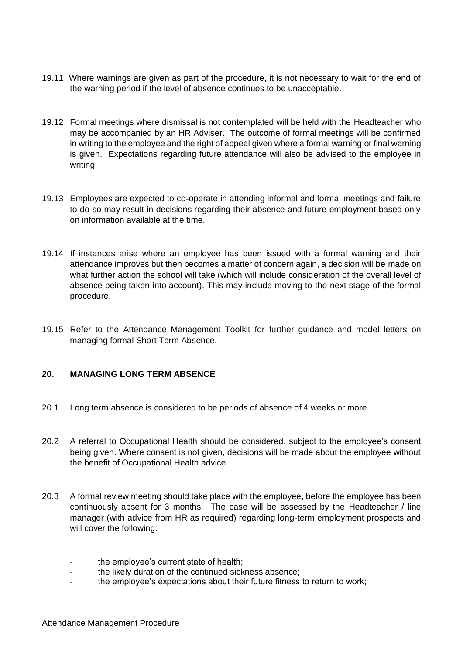- 19.11 Where warnings are given as part of the procedure, it is not necessary to wait for the end of the warning period if the level of absence continues to be unacceptable.
- 19.12 Formal meetings where dismissal is not contemplated will be held with the Headteacher who may be accompanied by an HR Adviser. The outcome of formal meetings will be confirmed in writing to the employee and the right of appeal given where a formal warning or final warning is given. Expectations regarding future attendance will also be advised to the employee in writing.
- 19.13 Employees are expected to co-operate in attending informal and formal meetings and failure to do so may result in decisions regarding their absence and future employment based only on information available at the time.
- 19.14 If instances arise where an employee has been issued with a formal warning and their attendance improves but then becomes a matter of concern again, a decision will be made on what further action the school will take (which will include consideration of the overall level of absence being taken into account). This may include moving to the next stage of the formal procedure.
- 19.15 Refer to the Attendance Management Toolkit for further guidance and model letters on managing formal Short Term Absence.

## **20. MANAGING LONG TERM ABSENCE**

- 20.1 Long term absence is considered to be periods of absence of 4 weeks or more.
- 20.2 A referral to Occupational Health should be considered, subject to the employee's consent being given. Where consent is not given, decisions will be made about the employee without the benefit of Occupational Health advice.
- 20.3 A formal review meeting should take place with the employee, before the employee has been continuously absent for 3 months. The case will be assessed by the Headteacher / line manager (with advice from HR as required) regarding long-term employment prospects and will cover the following:
	- the employee's current state of health;
	- the likely duration of the continued sickness absence:
	- the employee's expectations about their future fitness to return to work;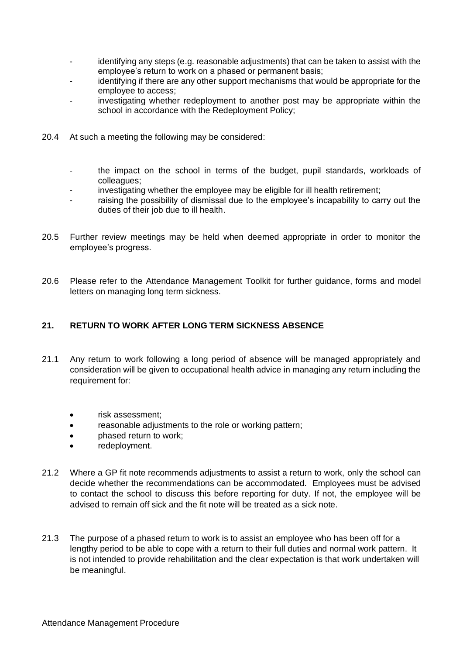- identifying any steps (e.g. reasonable adjustments) that can be taken to assist with the employee's return to work on a phased or permanent basis;
- identifying if there are any other support mechanisms that would be appropriate for the employee to access;
- investigating whether redeployment to another post may be appropriate within the school in accordance with the Redeployment Policy;
- 20.4 At such a meeting the following may be considered:
	- the impact on the school in terms of the budget, pupil standards, workloads of colleagues;
	- investigating whether the employee may be eligible for ill health retirement;
	- raising the possibility of dismissal due to the employee's incapability to carry out the duties of their job due to ill health.
- 20.5 Further review meetings may be held when deemed appropriate in order to monitor the employee's progress.
- 20.6 Please refer to the Attendance Management Toolkit for further guidance, forms and model letters on managing long term sickness.

## **21. RETURN TO WORK AFTER LONG TERM SICKNESS ABSENCE**

- 21.1 Any return to work following a long period of absence will be managed appropriately and consideration will be given to occupational health advice in managing any return including the requirement for:
	- risk assessment;
	- reasonable adjustments to the role or working pattern;
	- phased return to work;
	- redeployment.
- 21.2 Where a GP fit note recommends adjustments to assist a return to work, only the school can decide whether the recommendations can be accommodated. Employees must be advised to contact the school to discuss this before reporting for duty. If not, the employee will be advised to remain off sick and the fit note will be treated as a sick note.
- 21.3 The purpose of a phased return to work is to assist an employee who has been off for a lengthy period to be able to cope with a return to their full duties and normal work pattern. It is not intended to provide rehabilitation and the clear expectation is that work undertaken will be meaningful.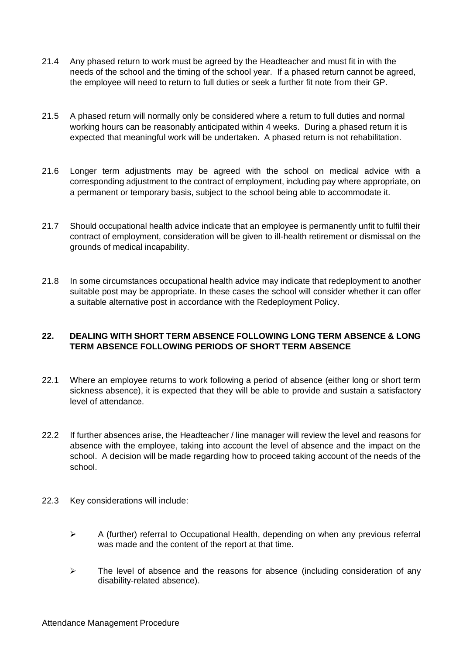- 21.4 Any phased return to work must be agreed by the Headteacher and must fit in with the needs of the school and the timing of the school year. If a phased return cannot be agreed, the employee will need to return to full duties or seek a further fit note from their GP.
- 21.5 A phased return will normally only be considered where a return to full duties and normal working hours can be reasonably anticipated within 4 weeks. During a phased return it is expected that meaningful work will be undertaken. A phased return is not rehabilitation.
- 21.6 Longer term adjustments may be agreed with the school on medical advice with a corresponding adjustment to the contract of employment, including pay where appropriate, on a permanent or temporary basis, subject to the school being able to accommodate it.
- 21.7 Should occupational health advice indicate that an employee is permanently unfit to fulfil their contract of employment, consideration will be given to ill-health retirement or dismissal on the grounds of medical incapability.
- 21.8 In some circumstances occupational health advice may indicate that redeployment to another suitable post may be appropriate. In these cases the school will consider whether it can offer a suitable alternative post in accordance with the Redeployment Policy.

## **22. DEALING WITH SHORT TERM ABSENCE FOLLOWING LONG TERM ABSENCE & LONG TERM ABSENCE FOLLOWING PERIODS OF SHORT TERM ABSENCE**

- 22.1 Where an employee returns to work following a period of absence (either long or short term sickness absence), it is expected that they will be able to provide and sustain a satisfactory level of attendance.
- 22.2 If further absences arise, the Headteacher / line manager will review the level and reasons for absence with the employee, taking into account the level of absence and the impact on the school. A decision will be made regarding how to proceed taking account of the needs of the school.
- 22.3 Key considerations will include:
	- ➢ A (further) referral to Occupational Health, depending on when any previous referral was made and the content of the report at that time.
	- ➢ The level of absence and the reasons for absence (including consideration of any disability-related absence).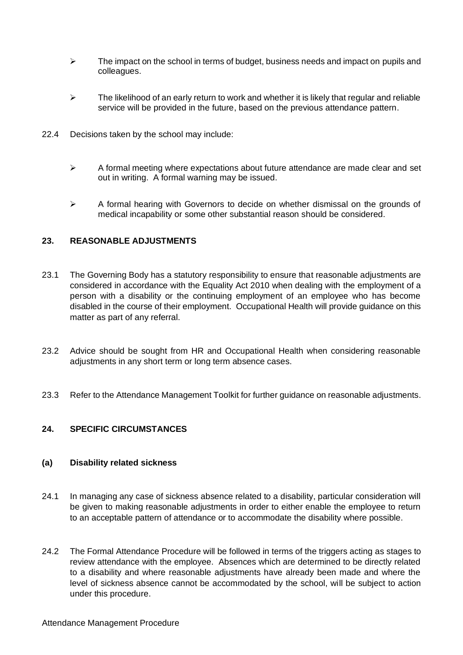- $\triangleright$  The impact on the school in terms of budget, business needs and impact on pupils and colleagues.
- $\triangleright$  The likelihood of an early return to work and whether it is likely that regular and reliable service will be provided in the future, based on the previous attendance pattern.
- 22.4 Decisions taken by the school may include:
	- $\triangleright$  A formal meeting where expectations about future attendance are made clear and set out in writing. A formal warning may be issued.
	- $\triangleright$  A formal hearing with Governors to decide on whether dismissal on the grounds of medical incapability or some other substantial reason should be considered.

## **23. REASONABLE ADJUSTMENTS**

- 23.1 The Governing Body has a statutory responsibility to ensure that reasonable adjustments are considered in accordance with the Equality Act 2010 when dealing with the employment of a person with a disability or the continuing employment of an employee who has become disabled in the course of their employment. Occupational Health will provide guidance on this matter as part of any referral.
- 23.2 Advice should be sought from HR and Occupational Health when considering reasonable adjustments in any short term or long term absence cases.
- 23.3 Refer to the Attendance Management Toolkit for further guidance on reasonable adjustments.

## **24. SPECIFIC CIRCUMSTANCES**

## **(a) Disability related sickness**

- 24.1 In managing any case of sickness absence related to a disability, particular consideration will be given to making reasonable adjustments in order to either enable the employee to return to an acceptable pattern of attendance or to accommodate the disability where possible.
- 24.2 The Formal Attendance Procedure will be followed in terms of the triggers acting as stages to review attendance with the employee. Absences which are determined to be directly related to a disability and where reasonable adjustments have already been made and where the level of sickness absence cannot be accommodated by the school, will be subject to action under this procedure.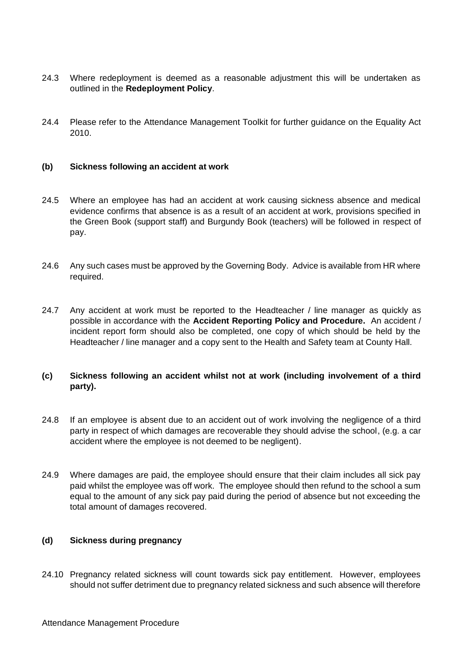- 24.3 Where redeployment is deemed as a reasonable adjustment this will be undertaken as outlined in the **Redeployment Policy**.
- 24.4 Please refer to the Attendance Management Toolkit for further guidance on the Equality Act 2010.

#### **(b) Sickness following an accident at work**

- 24.5 Where an employee has had an accident at work causing sickness absence and medical evidence confirms that absence is as a result of an accident at work, provisions specified in the Green Book (support staff) and Burgundy Book (teachers) will be followed in respect of pay.
- 24.6 Any such cases must be approved by the Governing Body. Advice is available from HR where required.
- 24.7 Any accident at work must be reported to the Headteacher / line manager as quickly as possible in accordance with the **Accident Reporting Policy and Procedure.** An accident / incident report form should also be completed, one copy of which should be held by the Headteacher / line manager and a copy sent to the Health and Safety team at County Hall.

## **(c) Sickness following an accident whilst not at work (including involvement of a third party).**

- 24.8 If an employee is absent due to an accident out of work involving the negligence of a third party in respect of which damages are recoverable they should advise the school, (e.g. a car accident where the employee is not deemed to be negligent).
- 24.9 Where damages are paid, the employee should ensure that their claim includes all sick pay paid whilst the employee was off work. The employee should then refund to the school a sum equal to the amount of any sick pay paid during the period of absence but not exceeding the total amount of damages recovered.

## **(d) Sickness during pregnancy**

24.10 Pregnancy related sickness will count towards sick pay entitlement. However, employees should not suffer detriment due to pregnancy related sickness and such absence will therefore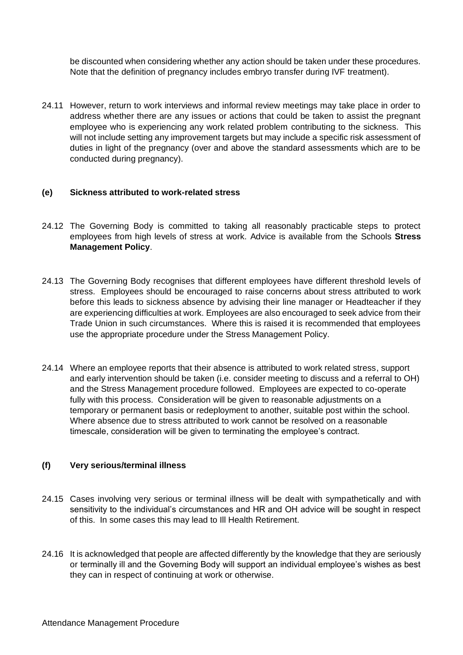be discounted when considering whether any action should be taken under these procedures. Note that the definition of pregnancy includes embryo transfer during IVF treatment).

24.11 However, return to work interviews and informal review meetings may take place in order to address whether there are any issues or actions that could be taken to assist the pregnant employee who is experiencing any work related problem contributing to the sickness. This will not include setting any improvement targets but may include a specific risk assessment of duties in light of the pregnancy (over and above the standard assessments which are to be conducted during pregnancy).

## **(e) Sickness attributed to work-related stress**

- 24.12 The Governing Body is committed to taking all reasonably practicable steps to protect employees from high levels of stress at work. Advice is available from the Schools **Stress Management Policy**.
- 24.13 The Governing Body recognises that different employees have different threshold levels of stress. Employees should be encouraged to raise concerns about stress attributed to work before this leads to sickness absence by advising their line manager or Headteacher if they are experiencing difficulties at work. Employees are also encouraged to seek advice from their Trade Union in such circumstances. Where this is raised it is recommended that employees use the appropriate procedure under the Stress Management Policy.
- 24.14 Where an employee reports that their absence is attributed to work related stress, support and early intervention should be taken (i.e. consider meeting to discuss and a referral to OH) and the Stress Management procedure followed. Employees are expected to co-operate fully with this process. Consideration will be given to reasonable adjustments on a temporary or permanent basis or redeployment to another, suitable post within the school. Where absence due to stress attributed to work cannot be resolved on a reasonable timescale, consideration will be given to terminating the employee's contract.

## **(f) Very serious/terminal illness**

- 24.15 Cases involving very serious or terminal illness will be dealt with sympathetically and with sensitivity to the individual's circumstances and HR and OH advice will be sought in respect of this. In some cases this may lead to Ill Health Retirement.
- 24.16 It is acknowledged that people are affected differently by the knowledge that they are seriously or terminally ill and the Governing Body will support an individual employee's wishes as best they can in respect of continuing at work or otherwise.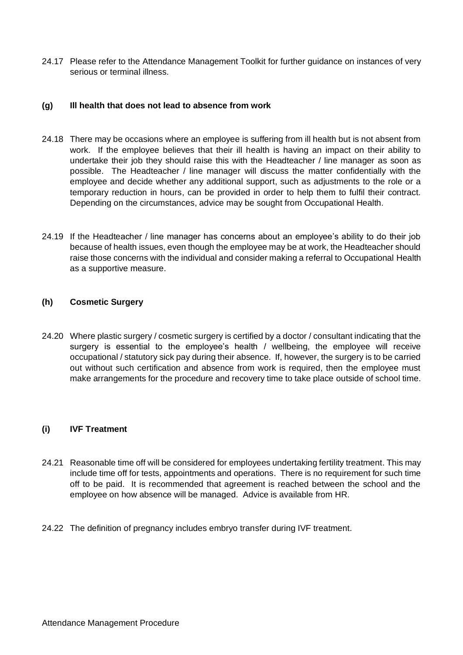24.17 Please refer to the Attendance Management Toolkit for further guidance on instances of very serious or terminal illness.

## **(g) Ill health that does not lead to absence from work**

- 24.18 There may be occasions where an employee is suffering from ill health but is not absent from work. If the employee believes that their ill health is having an impact on their ability to undertake their job they should raise this with the Headteacher / line manager as soon as possible. The Headteacher / line manager will discuss the matter confidentially with the employee and decide whether any additional support, such as adjustments to the role or a temporary reduction in hours, can be provided in order to help them to fulfil their contract. Depending on the circumstances, advice may be sought from Occupational Health.
- 24.19 If the Headteacher / line manager has concerns about an employee's ability to do their job because of health issues, even though the employee may be at work, the Headteacher should raise those concerns with the individual and consider making a referral to Occupational Health as a supportive measure.

## **(h) Cosmetic Surgery**

24.20 Where plastic surgery / cosmetic surgery is certified by a doctor / consultant indicating that the surgery is essential to the employee's health / wellbeing, the employee will receive occupational / statutory sick pay during their absence. If, however, the surgery is to be carried out without such certification and absence from work is required, then the employee must make arrangements for the procedure and recovery time to take place outside of school time.

## **(i) IVF Treatment**

- 24.21 Reasonable time off will be considered for employees undertaking fertility treatment. This may include time off for tests, appointments and operations. There is no requirement for such time off to be paid. It is recommended that agreement is reached between the school and the employee on how absence will be managed. Advice is available from HR.
- 24.22 The definition of pregnancy includes embryo transfer during IVF treatment.